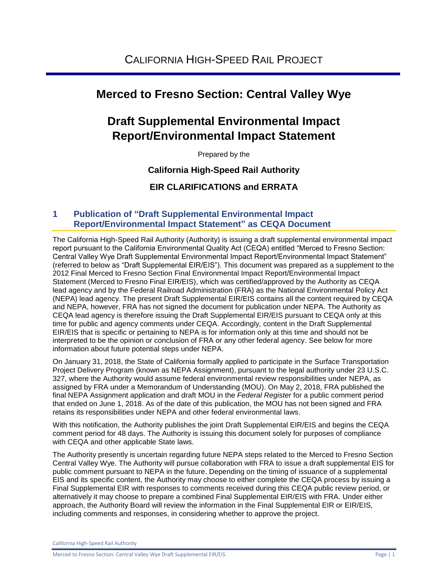# **Merced to Fresno Section: Central Valley Wye**

# **Draft Supplemental Environmental Impact Report/Environmental Impact Statement**

Prepared by the

# **California High-Speed Rail Authority**

**EIR CLARIFICATIONS and ERRATA**

# **1 Publication of "Draft Supplemental Environmental Impact Report/Environmental Impact Statement" as CEQA Document**

The California High-Speed Rail Authority (Authority) is issuing a draft supplemental environmental impact report pursuant to the California Environmental Quality Act (CEQA) entitled "Merced to Fresno Section: Central Valley Wye Draft Supplemental Environmental Impact Report/Environmental Impact Statement" (referred to below as "Draft Supplemental EIR/EIS"). This document was prepared as a supplement to the 2012 Final Merced to Fresno Section Final Environmental Impact Report/Environmental Impact Statement (Merced to Fresno Final EIR/EIS), which was certified/approved by the Authority as CEQA lead agency and by the Federal Railroad Administration (FRA) as the National Environmental Policy Act (NEPA) lead agency. The present Draft Supplemental EIR/EIS contains all the content required by CEQA and NEPA, however, FRA has not signed the document for publication under NEPA. The Authority as CEQA lead agency is therefore issuing the Draft Supplemental EIR/EIS pursuant to CEQA only at this time for public and agency comments under CEQA. Accordingly, content in the Draft Supplemental EIR/EIS that is specific or pertaining to NEPA is for information only at this time and should not be interpreted to be the opinion or conclusion of FRA or any other federal agency. See below for more information about future potential steps under NEPA.

On January 31, 2018, the State of California formally applied to participate in the Surface Transportation Project Delivery Program (known as NEPA Assignment), pursuant to the legal authority under 23 U.S.C. 327, where the Authority would assume federal environmental review responsibilities under NEPA, as assigned by FRA under a Memorandum of Understanding (MOU). On May 2, 2018, FRA published the final NEPA Assignment application and draft MOU in the *Federal Register* for a public comment period that ended on June 1, 2018. As of the date of this publication, the MOU has not been signed and FRA retains its responsibilities under NEPA and other federal environmental laws.

With this notification, the Authority publishes the joint Draft Supplemental EIR/EIS and begins the CEQA comment period for 48 days. The Authority is issuing this document solely for purposes of compliance with CEQA and other applicable State laws.

The Authority presently is uncertain regarding future NEPA steps related to the Merced to Fresno Section Central Valley Wye. The Authority will pursue collaboration with FRA to issue a draft supplemental EIS for public comment pursuant to NEPA in the future. Depending on the timing of issuance of a supplemental EIS and its specific content, the Authority may choose to either complete the CEQA process by issuing a Final Supplemental EIR with responses to comments received during this CEQA public review period, or alternatively it may choose to prepare a combined Final Supplemental EIR/EIS with FRA. Under either approach, the Authority Board will review the information in the Final Supplemental EIR or EIR/EIS, including comments and responses, in considering whether to approve the project.

California High-Speed Rail Authority

Merced to Fresno Section: Central Valley Wye Draft Supplemental EIR/EIS Page | 1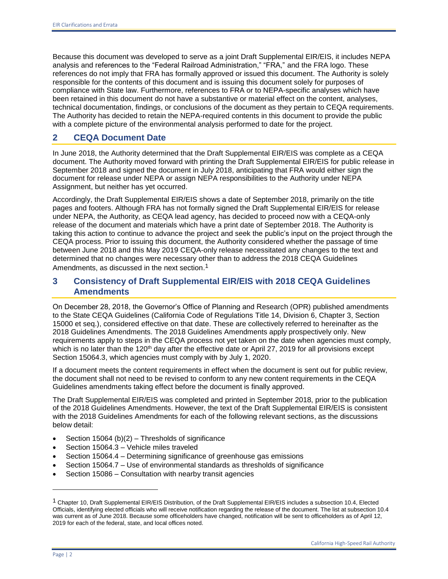Because this document was developed to serve as a joint Draft Supplemental EIR/EIS, it includes NEPA analysis and references to the "Federal Railroad Administration," "FRA," and the FRA logo. These references do not imply that FRA has formally approved or issued this document. The Authority is solely responsible for the contents of this document and is issuing this document solely for purposes of compliance with State law. Furthermore, references to FRA or to NEPA-specific analyses which have been retained in this document do not have a substantive or material effect on the content, analyses, technical documentation, findings, or conclusions of the document as they pertain to CEQA requirements. The Authority has decided to retain the NEPA-required contents in this document to provide the public with a complete picture of the environmental analysis performed to date for the project.

# **2 CEQA Document Date**

In June 2018, the Authority determined that the Draft Supplemental EIR/EIS was complete as a CEQA document. The Authority moved forward with printing the Draft Supplemental EIR/EIS for public release in September 2018 and signed the document in July 2018, anticipating that FRA would either sign the document for release under NEPA or assign NEPA responsibilities to the Authority under NEPA Assignment, but neither has yet occurred.

Accordingly, the Draft Supplemental EIR/EIS shows a date of September 2018, primarily on the title pages and footers. Although FRA has not formally signed the Draft Supplemental EIR/EIS for release under NEPA, the Authority, as CEQA lead agency, has decided to proceed now with a CEQA-only release of the document and materials which have a print date of September 2018. The Authority is taking this action to continue to advance the project and seek the public's input on the project through the CEQA process. Prior to issuing this document, the Authority considered whether the passage of time between June 2018 and this May 2019 CEQA-only release necessitated any changes to the text and determined that no changes were necessary other than to address the 2018 CEQA Guidelines Amendments, as discussed in the next section.<sup>1</sup>

# **3 Consistency of Draft Supplemental EIR/EIS with 2018 CEQA Guidelines Amendments**

On December 28, 2018, the Governor's Office of Planning and Research (OPR) published amendments to the State CEQA Guidelines (California Code of Regulations Title 14, Division 6, Chapter 3, Section 15000 et seq.), considered effective on that date. These are collectively referred to hereinafter as the 2018 Guidelines Amendments. The 2018 Guidelines Amendments apply prospectively only. New requirements apply to steps in the CEQA process not yet taken on the date when agencies must comply, which is no later than the  $120<sup>th</sup>$  day after the effective date or April 27, 2019 for all provisions except Section 15064.3, which agencies must comply with by July 1, 2020.

If a document meets the content requirements in effect when the document is sent out for public review, the document shall not need to be revised to conform to any new content requirements in the CEQA Guidelines amendments taking effect before the document is finally approved.

The Draft Supplemental EIR/EIS was completed and printed in September 2018, prior to the publication of the 2018 Guidelines Amendments. However, the text of the Draft Supplemental EIR/EIS is consistent with the 2018 Guidelines Amendments for each of the following relevant sections, as the discussions below detail:

- Section 15064 (b)(2) Thresholds of significance
- Section 15064.3 Vehicle miles traveled
- Section 15064.4 Determining significance of greenhouse gas emissions
- Section 15064.7 Use of environmental standards as thresholds of significance
- Section 15086 Consultation with nearby transit agencies

l

 $1$  Chapter 10, Draft Supplemental EIR/EIS Distribution, of the Draft Supplemental EIR/EIS includes a subsection 10.4, Elected Officials, identifying elected officials who will receive notification regarding the release of the document. The list at subsection 10.4 was current as of June 2018. Because some officeholders have changed, notification will be sent to officeholders as of April 12, 2019 for each of the federal, state, and local offices noted.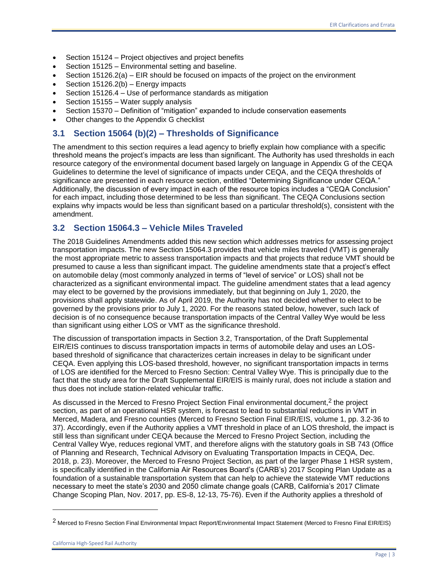- Section 15124 Project objectives and project benefits
- Section 15125 Environmental setting and baseline.
- Section 15126.2(a) EIR should be focused on impacts of the project on the environment
- Section 15126.2(b) Energy impacts
- Section 15126.4 Use of performance standards as mitigation
- Section 15155 Water supply analysis
- Section 15370 Definition of "mitigation" expanded to include conservation easements
- Other changes to the Appendix G checklist

# **3.1 Section 15064 (b)(2) – Thresholds of Significance**

The amendment to this section requires a lead agency to briefly explain how compliance with a specific threshold means the project's impacts are less than significant. The Authority has used thresholds in each resource category of the environmental document based largely on language in Appendix G of the CEQA Guidelines to determine the level of significance of impacts under CEQA, and the CEQA thresholds of significance are presented in each resource section, entitled "Determining Significance under CEQA." Additionally, the discussion of every impact in each of the resource topics includes a "CEQA Conclusion" for each impact, including those determined to be less than significant. The CEQA Conclusions section explains why impacts would be less than significant based on a particular threshold(s), consistent with the amendment.

# **3.2 Section 15064.3 – Vehicle Miles Traveled**

The 2018 Guidelines Amendments added this new section which addresses metrics for assessing project transportation impacts. The new Section 15064.3 provides that vehicle miles traveled (VMT) is generally the most appropriate metric to assess transportation impacts and that projects that reduce VMT should be presumed to cause a less than significant impact. The guideline amendments state that a project's effect on automobile delay (most commonly analyzed in terms of "level of service" or LOS) shall not be characterized as a significant environmental impact. The guideline amendment states that a lead agency may elect to be governed by the provisions immediately, but that beginning on July 1, 2020, the provisions shall apply statewide. As of April 2019, the Authority has not decided whether to elect to be governed by the provisions prior to July 1, 2020. For the reasons stated below, however, such lack of decision is of no consequence because transportation impacts of the Central Valley Wye would be less than significant using either LOS or VMT as the significance threshold.

The discussion of transportation impacts in Section 3.2, Transportation, of the Draft Supplemental EIR/EIS continues to discuss transportation impacts in terms of automobile delay and uses an LOSbased threshold of significance that characterizes certain increases in delay to be significant under CEQA. Even applying this LOS-based threshold, however, no significant transportation impacts in terms of LOS are identified for the Merced to Fresno Section: Central Valley Wye. This is principally due to the fact that the study area for the Draft Supplemental EIR/EIS is mainly rural, does not include a station and thus does not include station-related vehicular traffic.

As discussed in the Merced to Fresno Project Section Final environmental document,<sup>2</sup> the project section, as part of an operational HSR system, is forecast to lead to substantial reductions in VMT in Merced, Madera, and Fresno counties (Merced to Fresno Section Final EIR/EIS, volume 1, pp. 3.2-36 to 37). Accordingly, even if the Authority applies a VMT threshold in place of an LOS threshold, the impact is still less than significant under CEQA because the Merced to Fresno Project Section, including the Central Valley Wye, reduces regional VMT, and therefore aligns with the statutory goals in SB 743 (Office of Planning and Research, Technical Advisory on Evaluating Transportation Impacts in CEQA, Dec. 2018, p. 23). Moreover, the Merced to Fresno Project Section, as part of the larger Phase 1 HSR system, is specifically identified in the California Air Resources Board's (CARB's) 2017 Scoping Plan Update as a foundation of a sustainable transportation system that can help to achieve the statewide VMT reductions necessary to meet the state's 2030 and 2050 climate change goals (CARB, California's 2017 Climate Change Scoping Plan, Nov. 2017, pp. ES-8, 12-13, 75-76). Even if the Authority applies a threshold of

l

<sup>2</sup> Merced to Fresno Section Final Environmental Impact Report/Environmental Impact Statement (Merced to Fresno Final EIR/EIS)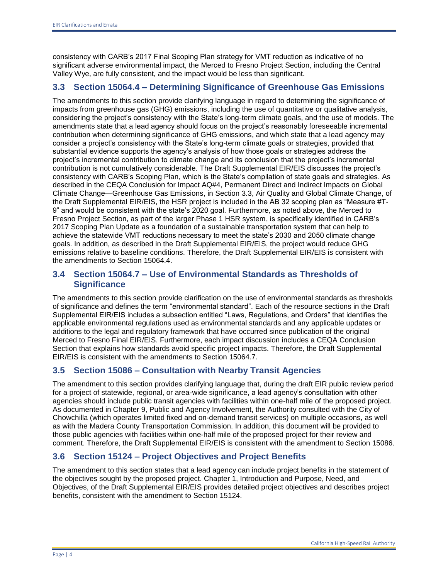consistency with CARB's 2017 Final Scoping Plan strategy for VMT reduction as indicative of no significant adverse environmental impact, the Merced to Fresno Project Section, including the Central Valley Wye, are fully consistent, and the impact would be less than significant.

# **3.3 Section 15064.4 – Determining Significance of Greenhouse Gas Emissions**

The amendments to this section provide clarifying language in regard to determining the significance of impacts from greenhouse gas (GHG) emissions, including the use of quantitative or qualitative analysis, considering the project's consistency with the State's long-term climate goals, and the use of models. The amendments state that a lead agency should focus on the project's reasonably foreseeable incremental contribution when determining significance of GHG emissions, and which state that a lead agency may consider a project's consistency with the State's long-term climate goals or strategies, provided that substantial evidence supports the agency's analysis of how those goals or strategies address the project's incremental contribution to climate change and its conclusion that the project's incremental contribution is not cumulatively considerable. The Draft Supplemental EIR/EIS discusses the project's consistency with CARB's Scoping Plan, which is the State's compilation of state goals and strategies. As described in the CEQA Conclusion for Impact AQ#4, Permanent Direct and Indirect Impacts on Global Climate Change—Greenhouse Gas Emissions, in Section 3.3, Air Quality and Global Climate Change, of the Draft Supplemental EIR/EIS, the HSR project is included in the AB 32 scoping plan as "Measure #T-9" and would be consistent with the state's 2020 goal. Furthermore, as noted above, the Merced to Fresno Project Section, as part of the larger Phase 1 HSR system, is specifically identified in CARB's 2017 Scoping Plan Update as a foundation of a sustainable transportation system that can help to achieve the statewide VMT reductions necessary to meet the state's 2030 and 2050 climate change goals. In addition, as described in the Draft Supplemental EIR/EIS, the project would reduce GHG emissions relative to baseline conditions. Therefore, the Draft Supplemental EIR/EIS is consistent with the amendments to Section 15064.4.

# **3.4 Section 15064.7 – Use of Environmental Standards as Thresholds of Significance**

The amendments to this section provide clarification on the use of environmental standards as thresholds of significance and defines the term "environmental standard". Each of the resource sections in the Draft Supplemental EIR/EIS includes a subsection entitled "Laws, Regulations, and Orders" that identifies the applicable environmental regulations used as environmental standards and any applicable updates or additions to the legal and regulatory framework that have occurred since publication of the original Merced to Fresno Final EIR/EIS. Furthermore, each impact discussion includes a CEQA Conclusion Section that explains how standards avoid specific project impacts. Therefore, the Draft Supplemental EIR/EIS is consistent with the amendments to Section 15064.7.

# **3.5 Section 15086 – Consultation with Nearby Transit Agencies**

The amendment to this section provides clarifying language that, during the draft EIR public review period for a project of statewide, regional, or area-wide significance, a lead agency's consultation with other agencies should include public transit agencies with facilities within one-half mile of the proposed project. As documented in Chapter 9, Public and Agency Involvement, the Authority consulted with the City of Chowchilla (which operates limited fixed and on-demand transit services) on multiple occasions, as well as with the Madera County Transportation Commission. In addition, this document will be provided to those public agencies with facilities within one-half mile of the proposed project for their review and comment. Therefore, the Draft Supplemental EIR/EIS is consistent with the amendment to Section 15086.

# **3.6 Section 15124 – Project Objectives and Project Benefits**

The amendment to this section states that a lead agency can include project benefits in the statement of the objectives sought by the proposed project. Chapter 1, Introduction and Purpose, Need, and Objectives, of the Draft Supplemental EIR/EIS provides detailed project objectives and describes project benefits, consistent with the amendment to Section 15124.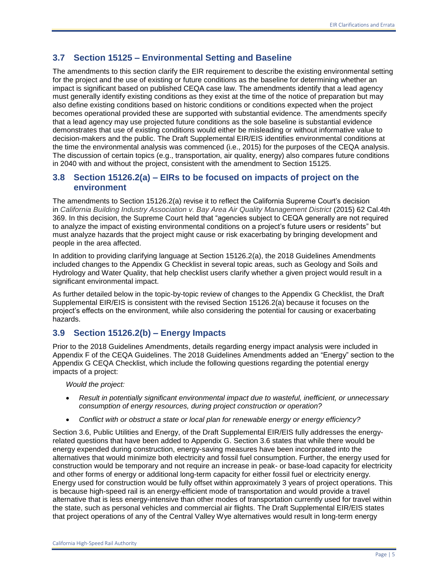# **3.7 Section 15125 – Environmental Setting and Baseline**

The amendments to this section clarify the EIR requirement to describe the existing environmental setting for the project and the use of existing or future conditions as the baseline for determining whether an impact is significant based on published CEQA case law. The amendments identify that a lead agency must generally identify existing conditions as they exist at the time of the notice of preparation but may also define existing conditions based on historic conditions or conditions expected when the project becomes operational provided these are supported with substantial evidence. The amendments specify that a lead agency may use projected future conditions as the sole baseline is substantial evidence demonstrates that use of existing conditions would either be misleading or without informative value to decision-makers and the public. The Draft Supplemental EIR/EIS identifies environmental conditions at the time the environmental analysis was commenced (i.e., 2015) for the purposes of the CEQA analysis. The discussion of certain topics (e.g., transportation, air quality, energy) also compares future conditions in 2040 with and without the project, consistent with the amendment to Section 15125.

# **3.8 Section 15126.2(a) – EIRs to be focused on impacts of project on the environment**

The amendments to Section 15126.2(a) revise it to reflect the California Supreme Court's decision in *California Building Industry Association v. Bay Area Air Quality Management District* (2015) 62 Cal.4th 369. In this decision, the Supreme Court held that "agencies subject to CEQA generally are not required to analyze the impact of existing environmental conditions on a project's future users or residents" but must analyze hazards that the project might cause or risk exacerbating by bringing development and people in the area affected.

In addition to providing clarifying language at Section 15126.2(a), the 2018 Guidelines Amendments included changes to the Appendix G Checklist in several topic areas, such as Geology and Soils and Hydrology and Water Quality, that help checklist users clarify whether a given project would result in a significant environmental impact.

As further detailed below in the topic-by-topic review of changes to the Appendix G Checklist, the Draft Supplemental EIR/EIS is consistent with the revised Section 15126.2(a) because it focuses on the project's effects on the environment, while also considering the potential for causing or exacerbating hazards.

# **3.9 Section 15126.2(b) – Energy Impacts**

Prior to the 2018 Guidelines Amendments, details regarding energy impact analysis were included in Appendix F of the CEQA Guidelines. The 2018 Guidelines Amendments added an "Energy" section to the Appendix G CEQA Checklist, which include the following questions regarding the potential energy impacts of a project:

### *Would the project:*

- *Result in potentially significant environmental impact due to wasteful, inefficient, or unnecessary consumption of energy resources, during project construction or operation?*
- *Conflict with or obstruct a state or local plan for renewable energy or energy efficiency?*

Section 3.6, Public Utilities and Energy, of the Draft Supplemental EIR/EIS fully addresses the energyrelated questions that have been added to Appendix G. Section 3.6 states that while there would be energy expended during construction, energy-saving measures have been incorporated into the alternatives that would minimize both electricity and fossil fuel consumption. Further, the energy used for construction would be temporary and not require an increase in peak- or base-load capacity for electricity and other forms of energy or additional long-term capacity for either fossil fuel or electricity energy. Energy used for construction would be fully offset within approximately 3 years of project operations. This is because high-speed rail is an energy-efficient mode of transportation and would provide a travel alternative that is less energy-intensive than other modes of transportation currently used for travel within the state, such as personal vehicles and commercial air flights. The Draft Supplemental EIR/EIS states that project operations of any of the Central Valley Wye alternatives would result in long-term energy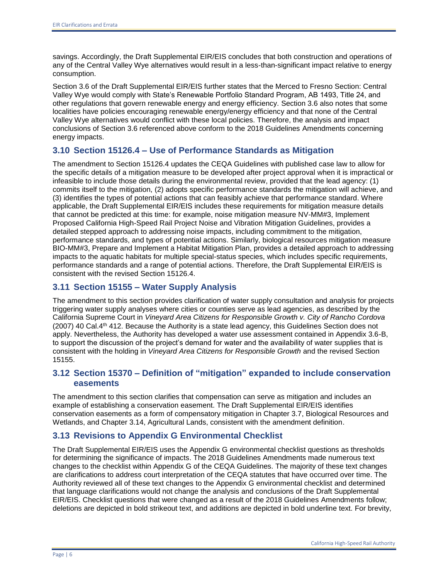savings. Accordingly, the Draft Supplemental EIR/EIS concludes that both construction and operations of any of the Central Valley Wye alternatives would result in a less-than-significant impact relative to energy consumption.

Section 3.6 of the Draft Supplemental EIR/EIS further states that the Merced to Fresno Section: Central Valley Wye would comply with State's Renewable Portfolio Standard Program, AB 1493, Title 24, and other regulations that govern renewable energy and energy efficiency. Section 3.6 also notes that some localities have policies encouraging renewable energy/energy efficiency and that none of the Central Valley Wye alternatives would conflict with these local policies. Therefore, the analysis and impact conclusions of Section 3.6 referenced above conform to the 2018 Guidelines Amendments concerning energy impacts.

# **3.10 Section 15126.4 – Use of Performance Standards as Mitigation**

The amendment to Section 15126.4 updates the CEQA Guidelines with published case law to allow for the specific details of a mitigation measure to be developed after project approval when it is impractical or infeasible to include those details during the environmental review, provided that the lead agency: (1) commits itself to the mitigation, (2) adopts specific performance standards the mitigation will achieve, and (3) identifies the types of potential actions that can feasibly achieve that performance standard. Where applicable, the Draft Supplemental EIR/EIS includes these requirements for mitigation measure details that cannot be predicted at this time: for example, noise mitigation measure NV-MM#3, Implement Proposed California High-Speed Rail Project Noise and Vibration Mitigation Guidelines, provides a detailed stepped approach to addressing noise impacts, including commitment to the mitigation, performance standards, and types of potential actions. Similarly, biological resources mitigation measure BIO-MM#3, Prepare and Implement a Habitat Mitigation Plan, provides a detailed approach to addressing impacts to the aquatic habitats for multiple special-status species, which includes specific requirements, performance standards and a range of potential actions. Therefore, the Draft Supplemental EIR/EIS is consistent with the revised Section 15126.4.

# **3.11 Section 15155 – Water Supply Analysis**

The amendment to this section provides clarification of water supply consultation and analysis for projects triggering water supply analyses where cities or counties serve as lead agencies, as described by the California Supreme Court in *Vineyard Area Citizens for Responsible Growth v. City of Rancho Cordova* (2007) 40 Cal.4th 412. Because the Authority is a state lead agency, this Guidelines Section does not apply. Nevertheless, the Authority has developed a water use assessment contained in Appendix 3.6-B, to support the discussion of the project's demand for water and the availability of water supplies that is consistent with the holding in *Vineyard Area Citizens for Responsible Growth* and the revised Section 15155.

# **3.12 Section 15370 – Definition of "mitigation" expanded to include conservation easements**

The amendment to this section clarifies that compensation can serve as mitigation and includes an example of establishing a conservation easement. The Draft Supplemental EIR/EIS identifies conservation easements as a form of compensatory mitigation in Chapter 3.7, Biological Resources and Wetlands, and Chapter 3.14, Agricultural Lands, consistent with the amendment definition.

# **3.13 Revisions to Appendix G Environmental Checklist**

The Draft Supplemental EIR/EIS uses the Appendix G environmental checklist questions as thresholds for determining the significance of impacts. The 2018 Guidelines Amendments made numerous text changes to the checklist within Appendix G of the CEQA Guidelines. The majority of these text changes are clarifications to address court interpretation of the CEQA statutes that have occurred over time. The Authority reviewed all of these text changes to the Appendix G environmental checklist and determined that language clarifications would not change the analysis and conclusions of the Draft Supplemental EIR/EIS. Checklist questions that were changed as a result of the 2018 Guidelines Amendments follow; deletions are depicted in bold strikeout text, and additions are depicted in bold underline text. For brevity,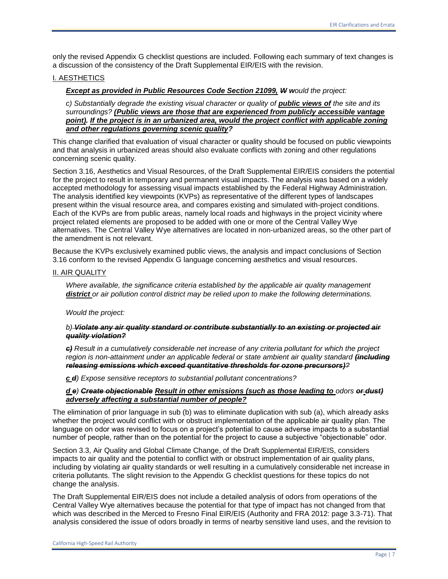only the revised Appendix G checklist questions are included. Following each summary of text changes is a discussion of the consistency of the Draft Supplemental EIR/EIS with the revision.

### I. AESTHETICS

*Except as provided in Public Resources Code Section 21099, W would the project:* 

*c) Substantially degrade the existing visual character or quality of public views of the site and its surroundings? (Public views are those that are experienced from publicly accessible vantage*  point). If the project is in an urbanized area, would the project conflict with applicable zoning *and other regulations governing scenic quality?*

This change clarified that evaluation of visual character or quality should be focused on public viewpoints and that analysis in urbanized areas should also evaluate conflicts with zoning and other regulations concerning scenic quality.

Section 3.16, Aesthetics and Visual Resources, of the Draft Supplemental EIR/EIS considers the potential for the project to result in temporary and permanent visual impacts. The analysis was based on a widely accepted methodology for assessing visual impacts established by the Federal Highway Administration. The analysis identified key viewpoints (KVPs) as representative of the different types of landscapes present within the visual resource area, and compares existing and simulated with-project conditions. Each of the KVPs are from public areas, namely local roads and highways in the project vicinity where project related elements are proposed to be added with one or more of the Central Valley Wye alternatives. The Central Valley Wye alternatives are located in non-urbanized areas, so the other part of the amendment is not relevant.

Because the KVPs exclusively examined public views, the analysis and impact conclusions of Section 3.16 conform to the revised Appendix G language concerning aesthetics and visual resources.

#### II. AIR QUALITY

*Where available, the significance criteria established by the applicable air quality management district or air pollution control district may be relied upon to make the following determinations.* 

*Would the project:*

### *b) Violate any air quality standard or contribute substantially to an existing or projected air quality violation?*

*c) Result in a cumulatively considerable net increase of any criteria pollutant for which the project*  region is non-attainment under an applicable federal or state ambient air quality standard *(including releasing emissions which exceed quantitative thresholds for ozone precursors)?*

*c d) Expose sensitive receptors to substantial pollutant concentrations?*

### *d e) Create objectionable Result in other emissions (such as those leading to odors or dust) adversely affecting a substantial number of people?*

The elimination of prior language in sub (b) was to eliminate duplication with sub (a), which already asks whether the project would conflict with or obstruct implementation of the applicable air quality plan. The language on odor was revised to focus on a project's potential to cause adverse impacts to a substantial number of people, rather than on the potential for the project to cause a subjective "objectionable" odor.

Section 3.3, Air Quality and Global Climate Change, of the Draft Supplemental EIR/EIS, considers impacts to air quality and the potential to conflict with or obstruct implementation of air quality plans, including by violating air quality standards or well resulting in a cumulatively considerable net increase in criteria pollutants. The slight revision to the Appendix G checklist questions for these topics do not change the analysis.

The Draft Supplemental EIR/EIS does not include a detailed analysis of odors from operations of the Central Valley Wye alternatives because the potential for that type of impact has not changed from that which was described in the Merced to Fresno Final EIR/EIS (Authority and FRA 2012: page 3.3-71). That analysis considered the issue of odors broadly in terms of nearby sensitive land uses, and the revision to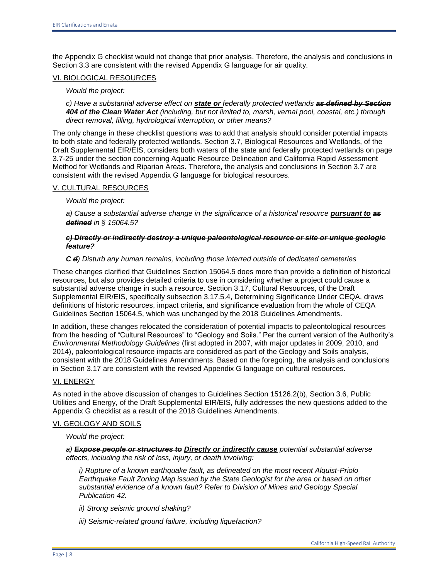the Appendix G checklist would not change that prior analysis. Therefore, the analysis and conclusions in Section 3.3 are consistent with the revised Appendix G language for air quality.

### VI. BIOLOGICAL RESOURCES

#### *Would the project:*

*c) Have a substantial adverse effect on state or federally protected wetlands as defined by Section 404 of the Clean Water Act (including, but not limited to, marsh, vernal pool, coastal, etc.) through direct removal, filling, hydrological interruption, or other means?*

The only change in these checklist questions was to add that analysis should consider potential impacts to both state and federally protected wetlands. Section 3.7, Biological Resources and Wetlands, of the Draft Supplemental EIR/EIS, considers both waters of the state and federally protected wetlands on page 3.7-25 under the section concerning Aquatic Resource Delineation and California Rapid Assessment Method for Wetlands and Riparian Areas. Therefore, the analysis and conclusions in Section 3.7 are consistent with the revised Appendix G language for biological resources.

### V. CULTURAL RESOURCES

*Would the project:* 

*a) Cause a substantial adverse change in the significance of a historical resource pursuant to as defined in § 15064.5?* 

### *c) Directly or indirectly destroy a unique paleontological resource or site or unique geologic feature?*

### *C d) Disturb any human remains, including those interred outside of dedicated cemeteries*

These changes clarified that Guidelines Section 15064.5 does more than provide a definition of historical resources, but also provides detailed criteria to use in considering whether a project could cause a substantial adverse change in such a resource. Section 3.17, Cultural Resources, of the Draft Supplemental EIR/EIS, specifically subsection 3.17.5.4, Determining Significance Under CEQA, draws definitions of historic resources, impact criteria, and significance evaluation from the whole of CEQA Guidelines Section 15064.5, which was unchanged by the 2018 Guidelines Amendments.

In addition, these changes relocated the consideration of potential impacts to paleontological resources from the heading of "Cultural Resources" to "Geology and Soils." Per the current version of the Authority's *Environmental Methodology Guidelines* (first adopted in 2007, with major updates in 2009, 2010, and 2014), paleontological resource impacts are considered as part of the Geology and Soils analysis, consistent with the 2018 Guidelines Amendments. Based on the foregoing, the analysis and conclusions in Section 3.17 are consistent with the revised Appendix G language on cultural resources.

### VI. ENERGY

As noted in the above discussion of changes to Guidelines Section 15126.2(b), Section 3.6, Public Utilities and Energy, of the Draft Supplemental EIR/EIS, fully addresses the new questions added to the Appendix G checklist as a result of the 2018 Guidelines Amendments.

#### VI. GEOLOGY AND SOILS

*Would the project:* 

*a) Expose people or structures to Directly or indirectly cause potential substantial adverse effects, including the risk of loss, injury, or death involving:* 

*i) Rupture of a known earthquake fault, as delineated on the most recent Alquist-Priolo Earthquake Fault Zoning Map issued by the State Geologist for the area or based on other substantial evidence of a known fault? Refer to Division of Mines and Geology Special Publication 42.* 

- *ii) Strong seismic ground shaking?*
- *iii) Seismic-related ground failure, including liquefaction?*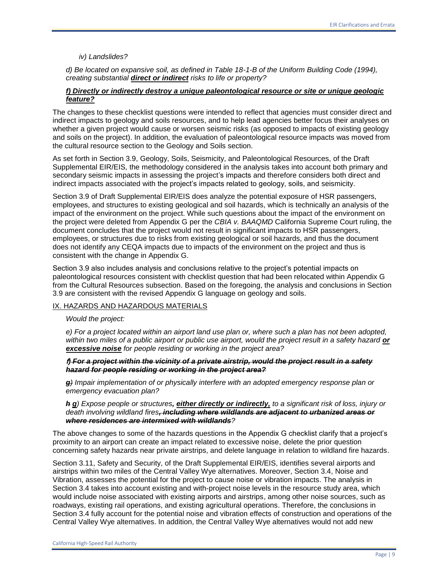# *iv) Landslides?*

*d) Be located on expansive soil, as defined in Table 18-1-B of the Uniform Building Code (1994), creating substantial direct or indirect risks to life or property?* 

### *f) Directly or indirectly destroy a unique paleontological resource or site or unique geologic feature?*

The changes to these checklist questions were intended to reflect that agencies must consider direct and indirect impacts to geology and soils resources, and to help lead agencies better focus their analyses on whether a given project would cause or worsen seismic risks (as opposed to impacts of existing geology and soils on the project). In addition, the evaluation of paleontological resource impacts was moved from the cultural resource section to the Geology and Soils section.

As set forth in Section 3.9, Geology, Soils, Seismicity, and Paleontological Resources, of the Draft Supplemental EIR/EIS, the methodology considered in the analysis takes into account both primary and secondary seismic impacts in assessing the project's impacts and therefore considers both direct and indirect impacts associated with the project's impacts related to geology, soils, and seismicity.

Section 3.9 of Draft Supplemental EIR/EIS does analyze the potential exposure of HSR passengers, employees, and structures to existing geological and soil hazards, which is technically an analysis of the impact of the environment on the project. While such questions about the impact of the environment on the project were deleted from Appendix G per the *CBIA v. BAAQMD* California Supreme Court ruling, the document concludes that the project would not result in significant impacts to HSR passengers, employees, or structures due to risks from existing geological or soil hazards, and thus the document does not identify any CEQA impacts due to impacts of the environment on the project and thus is consistent with the change in Appendix G.

Section 3.9 also includes analysis and conclusions relative to the project's potential impacts on paleontological resources consistent with checklist question that had been relocated within Appendix G from the Cultural Resources subsection. Based on the foregoing, the analysis and conclusions in Section 3.9 are consistent with the revised Appendix G language on geology and soils.

## IX. HAZARDS AND HAZARDOUS MATERIALS

*Would the project:* 

*e) For a project located within an airport land use plan or, where such a plan has not been adopted,*  within two miles of a public airport or public use airport, would the project result in a safety hazard **or** *excessive noise for people residing or working in the project area?* 

### **f***) For a project within the vicinity of a private airstrip, would the project result in a safety hazard for people residing or working in the project area?*

*g) Impair implementation of or physically interfere with an adopted emergency response plan or emergency evacuation plan?* 

*h g) Expose people or structures, either directly or indirectly, to a significant risk of loss, injury or death involving wildland fires, including where wildlands are adjacent to urbanized areas or where residences are intermixed with wildlands?* 

The above changes to some of the hazards questions in the Appendix G checklist clarify that a project's proximity to an airport can create an impact related to excessive noise, delete the prior question concerning safety hazards near private airstrips, and delete language in relation to wildland fire hazards.

Section 3.11, Safety and Security, of the Draft Supplemental EIR/EIS, identifies several airports and airstrips within two miles of the Central Valley Wye alternatives. Moreover, Section 3.4, Noise and Vibration, assesses the potential for the project to cause noise or vibration impacts. The analysis in Section 3.4 takes into account existing and with-project noise levels in the resource study area, which would include noise associated with existing airports and airstrips, among other noise sources, such as roadways, existing rail operations, and existing agricultural operations. Therefore, the conclusions in Section 3.4 fully account for the potential noise and vibration effects of construction and operations of the Central Valley Wye alternatives. In addition, the Central Valley Wye alternatives would not add new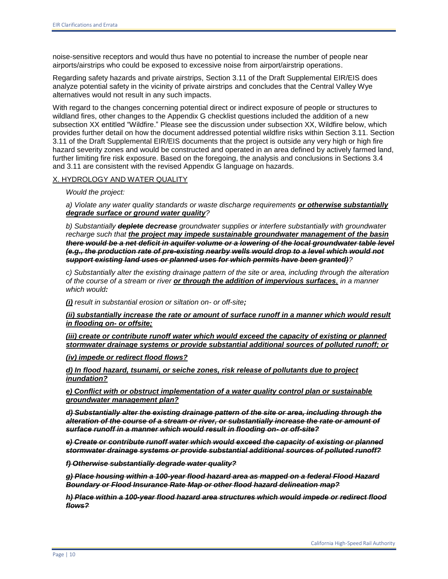noise-sensitive receptors and would thus have no potential to increase the number of people near airports/airstrips who could be exposed to excessive noise from airport/airstrip operations.

Regarding safety hazards and private airstrips, Section 3.11 of the Draft Supplemental EIR/EIS does analyze potential safety in the vicinity of private airstrips and concludes that the Central Valley Wye alternatives would not result in any such impacts.

With regard to the changes concerning potential direct or indirect exposure of people or structures to wildland fires, other changes to the Appendix G checklist questions included the addition of a new subsection XX entitled "Wildfire." Please see the discussion under subsection XX, Wildfire below, which provides further detail on how the document addressed potential wildfire risks within Section 3.11. Section 3.11 of the Draft Supplemental EIR/EIS documents that the project is outside any very high or high fire hazard severity zones and would be constructed and operated in an area defined by actively farmed land, further limiting fire risk exposure. Based on the foregoing, the analysis and conclusions in Sections 3.4 and 3.11 are consistent with the revised Appendix G language on hazards.

### X. HYDROLOGY AND WATER QUALITY

*Would the project:* 

*a) Violate any water quality standards or waste discharge requirements or otherwise substantially degrade surface or ground water quality?* 

*b) Substantially deplete decrease groundwater supplies or interfere substantially with groundwater recharge such that the project may impede sustainable groundwater management of the basin there would be a net deficit in aquifer volume or a lowering of the local groundwater table level (e.g., the production rate of pre-existing nearby wells would drop to a level which would not support existing land uses or planned uses for which permits have been granted)?* 

*c) Substantially alter the existing drainage pattern of the site or area, including through the alteration of the course of a stream or river or through the addition of impervious surfaces, in a manner which would:* 

*(i) result in substantial erosion or siltation on- or off-site;*

*(ii) substantially increase the rate or amount of surface runoff in a manner which would result in flooding on- or offsite;* 

*(iii) create or contribute runoff water which would exceed the capacity of existing or planned stormwater drainage systems or provide substantial additional sources of polluted runoff; or* 

*(iv) impede or redirect flood flows?* 

*d) In flood hazard, tsunami, or seiche zones, risk release of pollutants due to project inundation?* 

*e) Conflict with or obstruct implementation of a water quality control plan or sustainable groundwater management plan?* 

*d) Substantially alter the existing drainage pattern of the site or area, including through the alteration of the course of a stream or river, or substantially increase the rate or amount of surface runoff in a manner which would result in flooding on- or off-site?* 

*e) Create or contribute runoff water which would exceed the capacity of existing or planned stormwater drainage systems or provide substantial additional sources of polluted runoff?* 

*f) Otherwise substantially degrade water quality?* 

*g) Place housing within a 100-year flood hazard area as mapped on a federal Flood Hazard Boundary or Flood Insurance Rate Map or other flood hazard delineation map?* 

*h) Place within a 100-year flood hazard area structures which would impede or redirect flood flows?*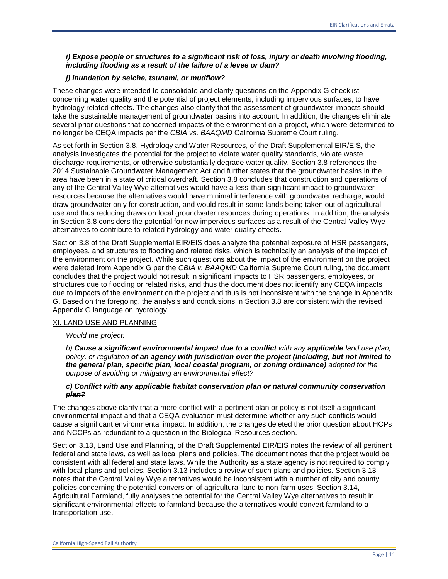## *i) Expose people or structures to a significant risk of loss, injury or death involving flooding, including flooding as a result of the failure of a levee or dam?*

#### *j) Inundation by seiche, tsunami, or mudflow?*

These changes were intended to consolidate and clarify questions on the Appendix G checklist concerning water quality and the potential of project elements, including impervious surfaces, to have hydrology related effects. The changes also clarify that the assessment of groundwater impacts should take the sustainable management of groundwater basins into account. In addition, the changes eliminate several prior questions that concerned impacts of the environment on a project, which were determined to no longer be CEQA impacts per the *CBIA vs. BAAQMD* California Supreme Court ruling.

As set forth in Section 3.8, Hydrology and Water Resources, of the Draft Supplemental EIR/EIS, the analysis investigates the potential for the project to violate water quality standards, violate waste discharge requirements, or otherwise substantially degrade water quality. Section 3.8 references the 2014 Sustainable Groundwater Management Act and further states that the groundwater basins in the area have been in a state of critical overdraft. Section 3.8 concludes that construction and operations of any of the Central Valley Wye alternatives would have a less-than-significant impact to groundwater resources because the alternatives would have minimal interference with groundwater recharge, would draw groundwater only for construction, and would result in some lands being taken out of agricultural use and thus reducing draws on local groundwater resources during operations. In addition, the analysis in Section 3.8 considers the potential for new impervious surfaces as a result of the Central Valley Wye alternatives to contribute to related hydrology and water quality effects.

Section 3.8 of the Draft Supplemental EIR/EIS does analyze the potential exposure of HSR passengers, employees, and structures to flooding and related risks, which is technically an analysis of the impact of the environment on the project. While such questions about the impact of the environment on the project were deleted from Appendix G per the *CBIA v. BAAQMD* California Supreme Court ruling, the document concludes that the project would not result in significant impacts to HSR passengers, employees, or structures due to flooding or related risks, and thus the document does not identify any CEQA impacts due to impacts of the environment on the project and thus is not inconsistent with the change in Appendix G. Based on the foregoing, the analysis and conclusions in Section 3.8 are consistent with the revised Appendix G language on hydrology.

#### XI. LAND USE AND PLANNING

#### *Would the project:*

*b)* **Cause a significant environmental impact due to a conflict with any applicable land use plan,** *policy, or regulation of an agency with jurisdiction over the project (including, but not limited to the general plan, specific plan, local coastal program, or zoning ordinance) adopted for the purpose of avoiding or mitigating an environmental effect?* 

#### *c) Conflict with any applicable habitat conservation plan or natural community conservation plan?*

The changes above clarify that a mere conflict with a pertinent plan or policy is not itself a significant environmental impact and that a CEQA evaluation must determine whether any such conflicts would cause a significant environmental impact. In addition, the changes deleted the prior question about HCPs and NCCPs as redundant to a question in the Biological Resources section.

Section 3.13, Land Use and Planning, of the Draft Supplemental EIR/EIS notes the review of all pertinent federal and state laws, as well as local plans and policies. The document notes that the project would be consistent with all federal and state laws. While the Authority as a state agency is not required to comply with local plans and policies, Section 3.13 includes a review of such plans and policies. Section 3.13 notes that the Central Valley Wye alternatives would be inconsistent with a number of city and county policies concerning the potential conversion of agricultural land to non-farm uses. Section 3.14, Agricultural Farmland, fully analyses the potential for the Central Valley Wye alternatives to result in significant environmental effects to farmland because the alternatives would convert farmland to a transportation use.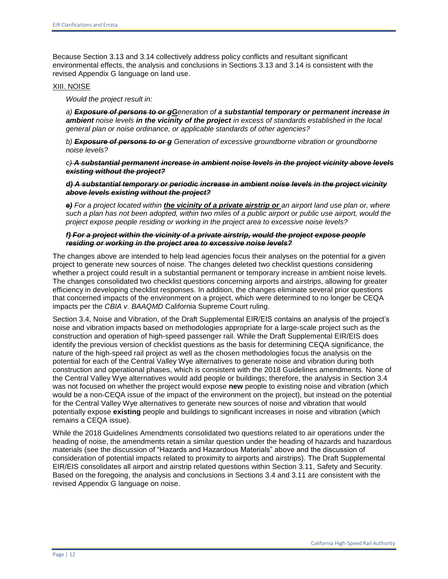Because Section 3.13 and 3.14 collectively address policy conflicts and resultant significant environmental effects, the analysis and conclusions in Sections 3.13 and 3.14 is consistent with the revised Appendix G language on land use.

### XIII. NOISE

*Would the project result in:* 

*a) Exposure of persons to or gGeneration of a substantial temporary or permanent increase in ambient noise levels in the vicinity of the project in excess of standards established in the local general plan or noise ordinance, or applicable standards of other agencies?* 

*b) Exposure of persons to or g Generation of excessive groundborne vibration or groundborne noise levels?* 

*c) A substantial permanent increase in ambient noise levels in the project vicinity above levels existing without the project?* 

*d) A substantial temporary or periodic increase in ambient noise levels in the project vicinity above levels existing without the project?* 

*e) For a project located within the vicinity of a private airstrip or an airport land use plan or, where such a plan has not been adopted, within two miles of a public airport or public use airport, would the project expose people residing or working in the project area to excessive noise levels?* 

### *f) For a project within the vicinity of a private airstrip, would the project expose people residing or working in the project area to excessive noise levels?*

The changes above are intended to help lead agencies focus their analyses on the potential for a given project to generate new sources of noise. The changes deleted two checklist questions considering whether a project could result in a substantial permanent or temporary increase in ambient noise levels. The changes consolidated two checklist questions concerning airports and airstrips, allowing for greater efficiency in developing checklist responses. In addition, the changes eliminate several prior questions that concerned impacts of the environment on a project, which were determined to no longer be CEQA impacts per the *CBIA v. BAAQMD* California Supreme Court ruling.

Section 3.4, Noise and Vibration, of the Draft Supplemental EIR/EIS contains an analysis of the project's noise and vibration impacts based on methodologies appropriate for a large-scale project such as the construction and operation of high-speed passenger rail. While the Draft Supplemental EIR/EIS does identify the previous version of checklist questions as the basis for determining CEQA significance, the nature of the high-speed rail project as well as the chosen methodologies focus the analysis on the potential for each of the Central Valley Wye alternatives to generate noise and vibration during both construction and operational phases, which is consistent with the 2018 Guidelines amendments. None of the Central Valley Wye alternatives would add people or buildings; therefore, the analysis in Section 3.4 was not focused on whether the project would expose **new** people to existing noise and vibration (which would be a non-CEQA issue of the impact of the environment on the project), but instead on the potential for the Central Valley Wye alternatives to generate new sources of noise and vibration that would potentially expose **existing** people and buildings to significant increases in noise and vibration (which remains a CEQA issue).

While the 2018 Guidelines Amendments consolidated two questions related to air operations under the heading of noise, the amendments retain a similar question under the heading of hazards and hazardous materials (see the discussion of "Hazards and Hazardous Materials" above and the discussion of consideration of potential impacts related to proximity to airports and airstrips). The Draft Supplemental EIR/EIS consolidates all airport and airstrip related questions within Section 3.11, Safety and Security. Based on the foregoing, the analysis and conclusions in Sections 3.4 and 3.11 are consistent with the revised Appendix G language on noise.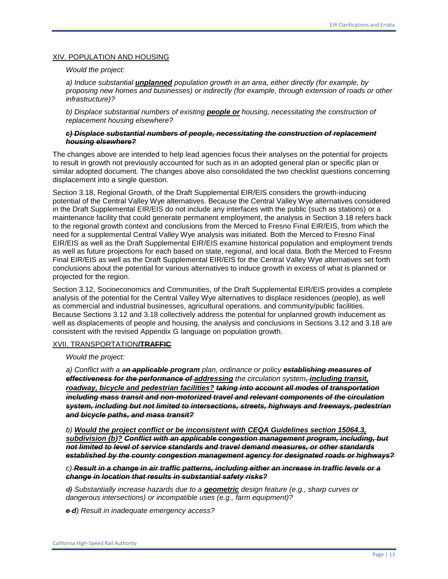#### XIV. POPULATION AND HOUSING

#### *Would the project:*

*a) Induce substantial unplanned population growth in an area, either directly (for example, by proposing new homes and businesses) or indirectly (for example, through extension of roads or other infrastructure)?* 

*b) Displace substantial numbers of existing people or housing, necessitating the construction of replacement housing elsewhere?* 

#### *c) Displace substantial numbers of people, necessitating the construction of replacement housing elsewhere?*

The changes above are intended to help lead agencies focus their analyses on the potential for projects to result in growth not previously accounted for such as in an adopted general plan or specific plan or similar adopted document. The changes above also consolidated the two checklist questions concerning displacement into a single question.

Section 3.18, Regional Growth, of the Draft Supplemental EIR/EIS considers the growth-inducing potential of the Central Valley Wye alternatives. Because the Central Valley Wye alternatives considered in the Draft Supplemental EIR/EIS do not include any interfaces with the public (such as stations) or a maintenance facility that could generate permanent employment, the analysis in Section 3.18 refers back to the regional growth context and conclusions from the Merced to Fresno Final EIR/EIS, from which the need for a supplemental Central Valley Wye analysis was initiated. Both the Merced to Fresno Final EIR/EIS as well as the Draft Supplemental EIR/EIS examine historical population and employment trends as well as future projections for each based on state, regional, and local data. Both the Merced to Fresno Final EIR/EIS as well as the Draft Supplemental EIR/EIS for the Central Valley Wye alternatives set forth conclusions about the potential for various alternatives to induce growth in excess of what is planned or projected for the region.

Section 3.12, Socioeconomics and Communities, of the Draft Supplemental EIR/EIS provides a complete analysis of the potential for the Central Valley Wye alternatives to displace residences (people), as well as commercial and industrial businesses, agricultural operations, and community/public facilities. Because Sections 3.12 and 3.18 collectively address the potential for unplanned growth inducement as well as displacements of people and housing, the analysis and conclusions in Sections 3.12 and 3.18 are consistent with the revised Appendix G language on population growth.

### XVII. TRANSPORTATION**/TRAFFIC**

#### *Would the project:*

*a) Conflict with a an applicable program plan, ordinance or policy establishing measures of effectiveness for the performance of addressing the circulation system, including transit, roadway, bicycle and pedestrian facilities? taking into account all modes of transportation including mass transit and non-motorized travel and relevant components of the circulation system, including but not limited to intersections, streets, highways and freeways, pedestrian and bicycle paths, and mass transit?* 

*b) Would the project conflict or be inconsistent with CEQA Guidelines section 15064.3, subdivision (b)? Conflict with an applicable congestion management program, including, but not limited to level of service standards and travel demand measures, or other standards established by the county congestion management agency for designated roads or highways?* 

## *c) Result in a change in air traffic patterns, including either an increase in traffic levels or a change in location that results in substantial safety risks?*

*d) Substantially increase hazards due to a geometric design feature (e.g., sharp curves or dangerous intersections) or incompatible uses (e.g., farm equipment)?* 

*e d) Result in inadequate emergency access?*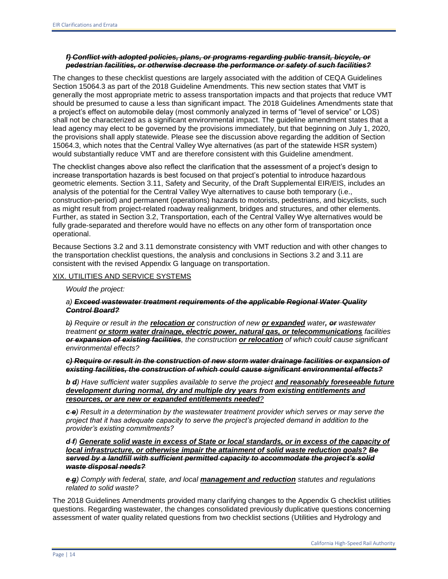# *f) Conflict with adopted policies, plans, or programs regarding public transit, bicycle, or pedestrian facilities, or otherwise decrease the performance or safety of such facilities?*

The changes to these checklist questions are largely associated with the addition of CEQA Guidelines Section 15064.3 as part of the 2018 Guideline Amendments. This new section states that VMT is generally the most appropriate metric to assess transportation impacts and that projects that reduce VMT should be presumed to cause a less than significant impact. The 2018 Guidelines Amendments state that a project's effect on automobile delay (most commonly analyzed in terms of "level of service" or LOS) shall not be characterized as a significant environmental impact. The guideline amendment states that a lead agency may elect to be governed by the provisions immediately, but that beginning on July 1, 2020, the provisions shall apply statewide. Please see the discussion above regarding the addition of Section 15064.3, which notes that the Central Valley Wye alternatives (as part of the statewide HSR system) would substantially reduce VMT and are therefore consistent with this Guideline amendment.

The checklist changes above also reflect the clarification that the assessment of a project's design to increase transportation hazards is best focused on that project's potential to introduce hazardous geometric elements. Section 3.11, Safety and Security, of the Draft Supplemental EIR/EIS, includes an analysis of the potential for the Central Valley Wye alternatives to cause both temporary (i.e., construction-period) and permanent (operations) hazards to motorists, pedestrians, and bicyclists, such as might result from project-related roadway realignment, bridges and structures, and other elements. Further, as stated in Section 3.2, Transportation, each of the Central Valley Wye alternatives would be fully grade-separated and therefore would have no effects on any other form of transportation once operational.

Because Sections 3.2 and 3.11 demonstrate consistency with VMT reduction and with other changes to the transportation checklist questions, the analysis and conclusions in Sections 3.2 and 3.11 are consistent with the revised Appendix G language on transportation.

### XIX. UTILITIES AND SERVICE SYSTEMS

*Would the project:* 

### *a) Exceed wastewater treatment requirements of the applicable Regional Water Quality Control Board?*

*b) Require or result in the relocation or construction of new or expanded water, or wastewater treatment or storm water drainage, electric power, natural gas, or telecommunications facilities or expansion of existing facilities, the construction or relocation of which could cause significant environmental effects?* 

*c) Require or result in the construction of new storm water drainage facilities or expansion of existing facilities, the construction of which could cause significant environmental effects?* 

*b d) Have sufficient water supplies available to serve the project and reasonably foreseeable future development during normal, dry and multiple dry years from existing entitlements and resources, or are new or expanded entitlements needed?* 

*c e) Result in a determination by the wastewater treatment provider which serves or may serve the project that it has adequate capacity to serve the project's projected demand in addition to the provider's existing commitments?* 

*d f) Generate solid waste in excess of State or local standards, or in excess of the capacity of local infrastructure, or otherwise impair the attainment of solid waste reduction goals? Be served by a landfill with sufficient permitted capacity to accommodate the project's solid waste disposal needs?* 

*e g) Comply with federal, state, and local management and reduction statutes and regulations related to solid waste?* 

The 2018 Guidelines Amendments provided many clarifying changes to the Appendix G checklist utilities questions. Regarding wastewater, the changes consolidated previously duplicative questions concerning assessment of water quality related questions from two checklist sections (Utilities and Hydrology and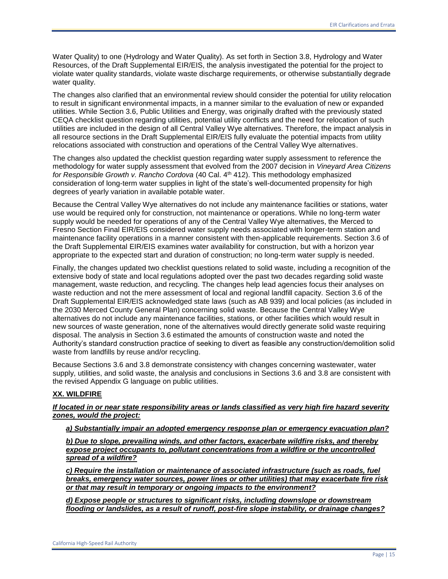Water Quality) to one (Hydrology and Water Quality). As set forth in Section 3.8, Hydrology and Water Resources, of the Draft Supplemental EIR/EIS, the analysis investigated the potential for the project to violate water quality standards, violate waste discharge requirements, or otherwise substantially degrade water quality.

The changes also clarified that an environmental review should consider the potential for utility relocation to result in significant environmental impacts, in a manner similar to the evaluation of new or expanded utilities. While Section 3.6, Public Utilities and Energy, was originally drafted with the previously stated CEQA checklist question regarding utilities, potential utility conflicts and the need for relocation of such utilities are included in the design of all Central Valley Wye alternatives. Therefore, the impact analysis in all resource sections in the Draft Supplemental EIR/EIS fully evaluate the potential impacts from utility relocations associated with construction and operations of the Central Valley Wye alternatives.

The changes also updated the checklist question regarding water supply assessment to reference the methodology for water supply assessment that evolved from the 2007 decision in *Vineyard Area Citizens for Responsible Growth v. Rancho Cordova* (40 Cal. 4<sup>th</sup> 412). This methodology emphasized consideration of long-term water supplies in light of the state's well-documented propensity for high degrees of yearly variation in available potable water.

Because the Central Valley Wye alternatives do not include any maintenance facilities or stations, water use would be required only for construction, not maintenance or operations. While no long-term water supply would be needed for operations of any of the Central Valley Wye alternatives, the Merced to Fresno Section Final EIR/EIS considered water supply needs associated with longer-term station and maintenance facility operations in a manner consistent with then-applicable requirements. Section 3.6 of the Draft Supplemental EIR/EIS examines water availability for construction, but with a horizon year appropriate to the expected start and duration of construction; no long-term water supply is needed.

Finally, the changes updated two checklist questions related to solid waste, including a recognition of the extensive body of state and local regulations adopted over the past two decades regarding solid waste management, waste reduction, and recycling. The changes help lead agencies focus their analyses on waste reduction and not the mere assessment of local and regional landfill capacity. Section 3.6 of the Draft Supplemental EIR/EIS acknowledged state laws (such as AB 939) and local policies (as included in the 2030 Merced County General Plan) concerning solid waste. Because the Central Valley Wye alternatives do not include any maintenance facilities, stations, or other facilities which would result in new sources of waste generation, none of the alternatives would directly generate solid waste requiring disposal. The analysis in Section 3.6 estimated the amounts of construction waste and noted the Authority's standard construction practice of seeking to divert as feasible any construction/demolition solid waste from landfills by reuse and/or recycling.

Because Sections 3.6 and 3.8 demonstrate consistency with changes concerning wastewater, water supply, utilities, and solid waste, the analysis and conclusions in Sections 3.6 and 3.8 are consistent with the revised Appendix G language on public utilities.

## **XX. WILDFIRE**

*If located in or near state responsibility areas or lands classified as very high fire hazard severity zones, would the project:*

#### *a) Substantially impair an adopted emergency response plan or emergency evacuation plan?*

*b) Due to slope, prevailing winds, and other factors, exacerbate wildfire risks, and thereby expose project occupants to, pollutant concentrations from a wildfire or the uncontrolled spread of a wildfire?* 

*c) Require the installation or maintenance of associated infrastructure (such as roads, fuel breaks, emergency water sources, power lines or other utilities) that may exacerbate fire risk or that may result in temporary or ongoing impacts to the environment?* 

*d) Expose people or structures to significant risks, including downslope or downstream flooding or landslides, as a result of runoff, post-fire slope instability, or drainage changes?*